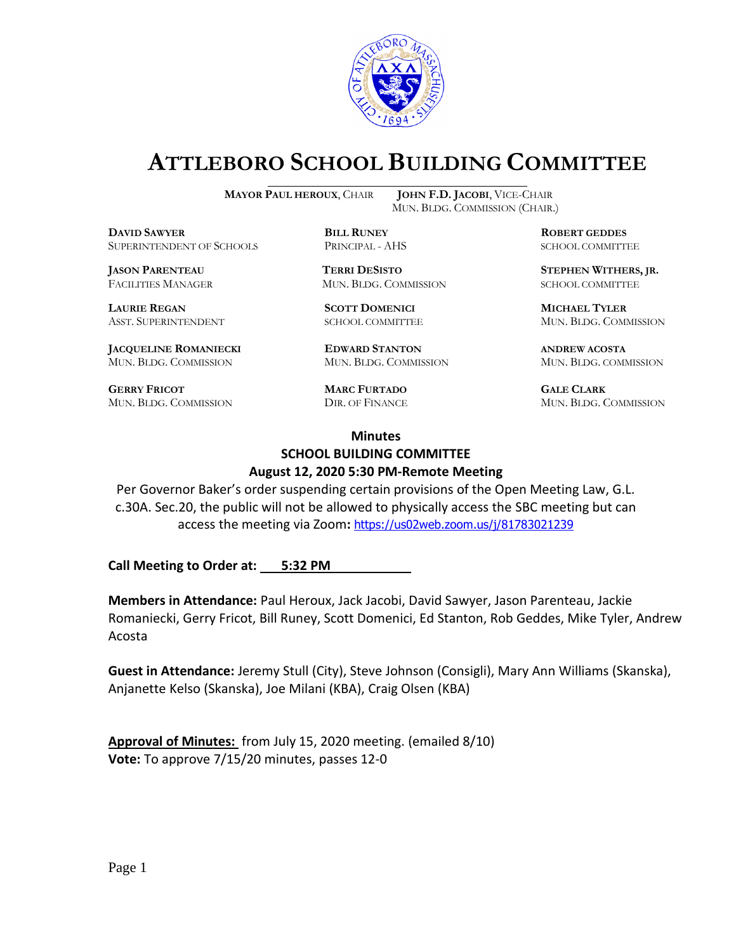

# **ATTLEBORO SCHOOL BUILDING COMMITTEE**

**MAYOR PAUL HEROUX**, CHAIR **JOHN F.D. JACOBI**, VICE-CHAIR

**DDAWYER BILL RUNEY ROBERT GEDDES** SUPERINTENDENT OF SCHOOLS PRINCIPAL - AHS SCHOOL COMMITTEE

FACILITIES MANAGER MUN. BLDG. COMMISSION SCHOOL COMMITTEE

**LAURIE REGAN SCOTT DOMENICI MICHAEL TYLER**

**JACQUELINE ROMANIECKI EDWARD STANTON ANDREW ACOSTA** MUN. BLDG. COMMISSION MUN. BLDG. COMMISSION MUN. BLDG. COMMISSION

**GERRY FRICOT MARC FURTADO GALE CLARK** MUN. BLDG. COMMISSION DIR. OF FINANCE MUN. BLDG. COMMISSION

MUN. BLDG. COMMISSION (CHAIR.)

**JASON PARENTEAU TERRI DESISTO STEPHEN WITHERS, JR.**

ASST. SUPERINTENDENT SCHOOL COMMITTEE MUN. BLDG. COMMISSION

#### **Minutes SCHOOL BUILDING COMMITTEE August 12, 2020 5:30 PM-Remote Meeting**

Per Governor Baker's order suspending certain provisions of the Open Meeting Law, G.L. c.30A. Sec.20, the public will not be allowed to physically access the SBC meeting but can access the meeting via Zoom**:** <https://us02web.zoom.us/j/81783021239>

**Call Meeting to Order at: 5:32 PM** 

**Members in Attendance:** Paul Heroux, Jack Jacobi, David Sawyer, Jason Parenteau, Jackie Romaniecki, Gerry Fricot, Bill Runey, Scott Domenici, Ed Stanton, Rob Geddes, Mike Tyler, Andrew Acosta

**Guest in Attendance:** Jeremy Stull (City), Steve Johnson (Consigli), Mary Ann Williams (Skanska), Anjanette Kelso (Skanska), Joe Milani (KBA), Craig Olsen (KBA)

**Approval of Minutes:** from July 15, 2020 meeting. (emailed 8/10) **Vote:** To approve 7/15/20 minutes, passes 12-0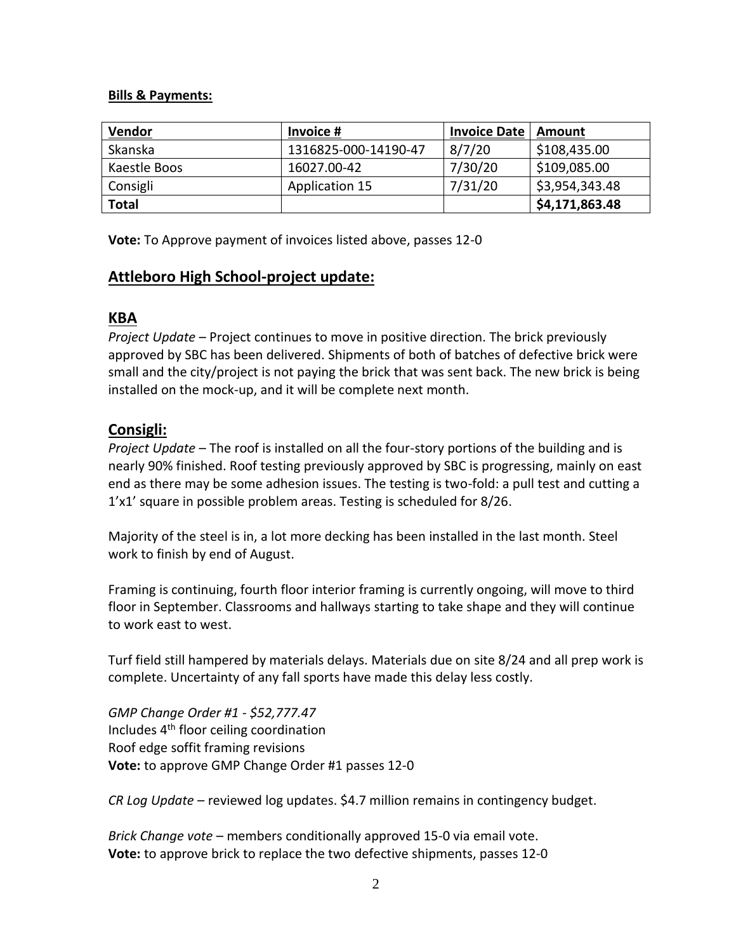#### **Bills & Payments:**

| <b>Vendor</b>  | Invoice #            | <b>Invoice Date</b> | Amount         |
|----------------|----------------------|---------------------|----------------|
| <b>Skanska</b> | 1316825-000-14190-47 | 8/7/20              | \$108,435.00   |
| Kaestle Boos   | 16027.00-42          | 7/30/20             | \$109,085.00   |
| Consigli       | Application 15       | 7/31/20             | \$3,954,343.48 |
| <b>Total</b>   |                      |                     | \$4,171,863.48 |

**Vote:** To Approve payment of invoices listed above, passes 12-0

### **Attleboro High School-project update:**

## **KBA**

*Project Update* – Project continues to move in positive direction. The brick previously approved by SBC has been delivered. Shipments of both of batches of defective brick were small and the city/project is not paying the brick that was sent back. The new brick is being installed on the mock-up, and it will be complete next month.

## **Consigli:**

*Project Update* – The roof is installed on all the four-story portions of the building and is nearly 90% finished. Roof testing previously approved by SBC is progressing, mainly on east end as there may be some adhesion issues. The testing is two-fold: a pull test and cutting a 1'x1' square in possible problem areas. Testing is scheduled for 8/26.

Majority of the steel is in, a lot more decking has been installed in the last month. Steel work to finish by end of August.

Framing is continuing, fourth floor interior framing is currently ongoing, will move to third floor in September. Classrooms and hallways starting to take shape and they will continue to work east to west.

Turf field still hampered by materials delays. Materials due on site 8/24 and all prep work is complete. Uncertainty of any fall sports have made this delay less costly.

*GMP Change Order #1 - \$52,777.47* Includes 4th floor ceiling coordination Roof edge soffit framing revisions **Vote:** to approve GMP Change Order #1 passes 12-0

*CR Log Update* – reviewed log updates. \$4.7 million remains in contingency budget.

*Brick Change vote* – members conditionally approved 15-0 via email vote. **Vote:** to approve brick to replace the two defective shipments, passes 12-0